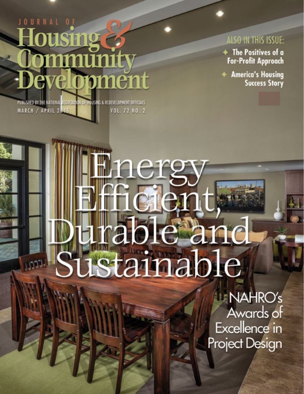# JOURNAL O Housing & ommunity **Pevelopment**

PUBLISHED BY THE NATIONAL ASSOCIATION OF HOUSING & REDEVELOPMENT OFFICIALS MARCH / APRIL 2015 VOL. 72 NO. 2

## ALSO IN THIS ISSUE:

+ The Positives of a **For-Profit Approach** 

+ America's Housing **Success Story** 

# rable and istainable

**NAHRO's** Awards of Excellence in Project Design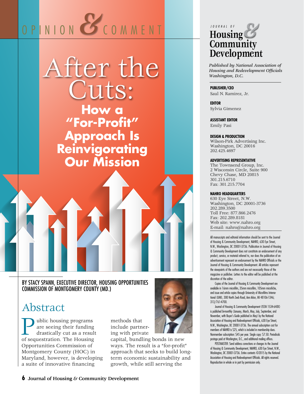# OPINION **COMMENT**



#### BY STACY SPANN, EXECUTIVE DIRECTOR, HOUSING OPPORTUNITIES COMMISSION OF MONTGOMERY COUNTY (MD.)

## Abstract

**Public housing programs**<br>are seeing their funding<br>drastically cut as a result<br>of sequestration. The Housing are seeing their funding drastically cut as a result Opportunities Commission of Montgomery County (HOC) in Maryland, however, is developing a suite of innovative financing

methods that include partnering with private

capital, bundling bonds in new ways. The result is a "for-profit" approach that seeks to build longterm economic sustainability and growth, while still serving the



*Published by National Association of Housing and Redevelopment Officials Washington, D.C.*

#### **PUBLISHER/CEO**

Saul N. Ramirez, Jr.

**EDITOR** Sylvia Gimenez

**ASSISTANT EDITOR**

Emily Pasi

#### **DESIGN & PRODUCTION**

Wilson-Pirk Advertising Inc. Washington, DC 20016 202.425.4697

#### **ADVERTISING REPRESENTATIVE**

The Townsend Group, Inc. 2 Wisconsin Circle, Suite 900 Chevy Chase, MD 20815 301.215.6710 Fax: 301.215.7704

#### **NAHRO HEADQUARTERS**

630 Eye Street, N.W. Washington, DC 20001-3736 202.289.3500 Toll Free: 877.866.2476 Fax: 202.289.8181 Web site: www.nahro.org E-mail: nahro@nahro.org

All manuscripts and editorial information should be sent to the Journal of Housing & Community Development, NAHRO, 630 Eye Street, N.W., Washington, DC 20001-3736. Publication in Journal of Housing & Community Development does not constitute an endorsement of any product, service, or material referred to, nor does the publication of an advertisement represent an endorsement by the NAHRO Officials or the Journal of Housing & Community Development. All articles represent the viewpoints of the authors and are not necessarily those of the magazine or publisher. Letters to the editor will be published at the discretion of the editor.

Copies of the Journal of Housing & Community Development are available in 16mm microfilm, 35mm microfilm, 105mm microfiche, and issue and article copies through University of Microfilms International (UMI), 300 North Zeeb Road, Ann Arbor, MI 48106-1346; 313/761-4700.

Journal of Housing & Community Development (ISSN 1534-648X) is published bi-monthly (January, March, May, July, September, and November, with Buyer's Guide published in May) by the National Association of Housing and Redevelopment Officials, 630 Eye Street, N.W., Washington, DC 20001-3736. The annual subscription cost for members of NAHRO is \$25, which is included in membership dues. Nonmember subscription: \$45 per year. Single copy: \$7.50. Periodicals postage paid at Washington, D.C., and additional mailing offices.

POSTMASTER: Send address corrections or changes to the Journal of Housing & Community Development, NAHRO, 630 Eye Street, N.W., Washington, DC 20001-3736. Entire contents ©2015 by the National Association of Housing and Redevelopment Officials. All rights reserved. Reproduction in whole or in part by permission only.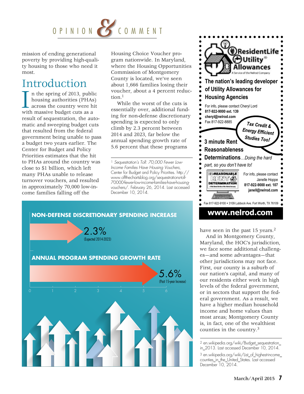

mission of ending generational poverty by providing high-quality housing to those who need it most.

## Introduction

I in the spring of 2013, publi<br>housing authorities (PHAs<br>with massive budget cuts as a n the spring of 2013, public housing authorities (PHAs) across the country were hit result of sequestration, the automatic and sweeping budget cuts that resulted from the federal government being unable to pass a budget two years earlier. The Center for Budget and Policy Priorities estimates that the hit to PHAs around the country was close to \$1 billion, which left many PHAs unable to release turnover vouchers, and resulted in approximately 70,000 low-income families falling off the

Housing Choice Voucher program nationwide. In Maryland, where the Housing Opportunities Commission of Montgomery County is located, we've seen about 1,666 families losing their voucher, about a 4 percent reduction.1

While the worst of the cuts is essentially over, additional funding for non-defense discretionary spending is expected to only climb by 2.3 percent between 2014 and 2023, far below the annual spending growth rate of 5.6 percent that these programs

1 *Sequestration's Toll: 70,000 Fewer Low-Income Families Have Housing Vouchers*, Center for Budget and Policy Priorities. [http://](http://www.offthechartsblog.org/sequestrations-toll-70000-fewer-low-income-families-have-housing-vouchers/) [www.offthechartsblog.org/sequestrations-toll-](http://www.offthechartsblog.org/sequestrations-toll-70000-fewer-low-income-families-have-housing-vouchers/)[70000-fewer-low-income-families-have-housing](http://www.offthechartsblog.org/sequestrations-toll-70000-fewer-low-income-families-have-housing-vouchers/)[vouchers/](http://www.offthechartsblog.org/sequestrations-toll-70000-fewer-low-income-families-have-housing-vouchers/). February 26, 2014. Last accessed December 10, 2014.





#### **www.nelrod.com**

have seen in the past 15 years.<sup>2</sup>

And in Montgomery County, Maryland, the HOC's jurisdiction, we face some additional challenges—and some advantages—that other jurisdictions may not face. First, our county is a suburb of our nation's capital, and many of our residents either work in high levels of the federal government, or in sectors that support the federal government. As a result, we have a higher median household income and home values than most areas; Montgomery County is, in fact, one of the wealthiest counties in the country.3

2 [en.wikipedia.org/wiki/Budget\\_sequestration\\_](http://en.wikipedia.org/wiki/Budget_sequestration_in_2013) [in\\_2013](http://en.wikipedia.org/wiki/Budget_sequestration_in_2013). Last accessed December 10, 2014.

3 [en.wikipedia.org/wiki/List\\_of\\_highest-income\\_](http://en.wikipedia.org/wiki/List_of_highest-income_counties_in_the_United_States) counties in the United States. Last accessed December 10, 2014.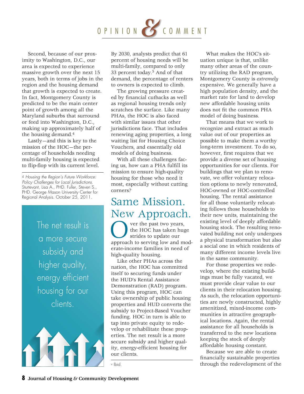# OPINIO <sup>N</sup>*&* COMMENT

Second, because of our proximity to Washington, D.C., our area is expected to experience massive growth over the next 15 years, both in terms of jobs in the region and the housing demand that growth is expected to create. In fact, Montgomery County is predicted to be the main center point of growth among all the Maryland suburbs that surround or feed into Washington, D.C., making up approximately half of the housing demand.4

Lastly—and this is key to the mission of the HOC—the percentage of households needing multi-family housing is expected to flip-flop with its current level.

4 *Housing the Region's Future Workforce: Policy Challenges for Local Jurisdictions*. Sturtevant, Lisa A., PHD. Fuller, Steven S., PHD. George Mason University Center for Regional Analysis. October 25, 2011.

> The net result is a more secure subsidy and higher quality, energy efficient housing for our clients.



By 2030, analysts predict that 61 percent of housing needs will be multi-family, compared to only 33 percent today.5 And of that demand, the percentage of renters to owners is expected to climb.

The growing pressure created by financial cutbacks as well as regional housing trends only scratches the surface. Like many PHAs, the HOC is also faced with similar issues that other jurisdictions face. That includes renewing aging properties, a long waiting list for Housing Choice Vouchers, and essentially old models of doing business.

With all these challenges facing us, how can a PHA fulfill its mission to ensure high-quality housing for those who need it most, especially without cutting corners?

## Same Mission. New Approach.

Over the past two years,<br>the HOC has taken huge<br>strides to update our<br>approach to serving low and modthe HOC has taken huge strides to update our erate-income families in need of high-quality housing.

Like other PHAs across the nation, the HOC has committed itself to securing funds under the HUD's Rental Assistance Demonstration (RAD) program. Using this program, HOC can take ownership of public housing properties and HUD converts the subsidy to Project-Based Voucher funding. HOC in turn is able to tap into private equity to redevelop or rehabilitate these properties. The net result is a more secure subsidy and higher quality, energy-efficient housing for our clients.

v Ibid.

What makes the HOC's situation unique is that, unlike many other areas of the country utilizing the RAD program, Montgomery County is *extremely*  expensive. We generally have a high population density, and the market rate for land to develop new affordable housing units does not fit the common PHA model of doing business.

That means that we work to recognize and extract as much value out of our properties as possible to make them a worthy long-term investment. To do so, however, first requires that we provide a diverse set of housing opportunities for our clients. For buildings that we plan to renovate, we offer voluntary relocation options to newly renovated, HOC-owned or HOC-controlled housing. The rental assistance for all those voluntarily relocating follows those households to their new units, maintaining the existing level of deeply affordable housing stock. The resulting renovated building not only undergoes a physical transformation but also a social one in which residents of many different income levels live in the same community.

For those properties we redevelop, where the existing buildings must be fully vacated, we must provide clear value to our clients in their relocation housing. As such, the relocation opportunities are newly constructed, highly amenitized, mixed-income communities in attractive geographical locations. Again, the rental assistance for all households is transferred to the new locations keeping the stock of deeply affordable housing constant.

Because we are able to create financially sustainable properties through the redevelopment of the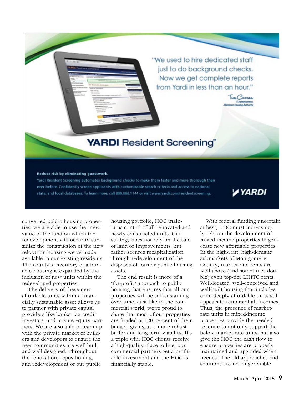"We used to hire dedicated staff just to do background checks. Now we get complete reports from Yardi in less than an hour."

Tim Carran

## **YARDI** Resident Screening"

#### Reduce risk by eliminating guesswork.

Yardi Resident Screening automates background checks to make them faster and more thorough than ever before. Confidently screen applicants with customizable search criteria and access to national, state, and local databases. To learn more, call 800.866.1144 or visit www.yardi.com/residentscreening.

### **YYARDI**

converted public housing properties, we are able to use the "new" value of the land on which the redevelopment will occur to subsidize the construction of the new relocation housing we've made available to our existing residents. The county's inventory of affordable housing is expanded by the inclusion of new units within the redeveloped properties.

The delivery of these new affordable units within a financially sustainable asset allows us to partner with private capital providers like banks, tax credit investors, and private equity partners. We are also able to team up with the private market of builders and developers to ensure the new communities are well built and well designed. Throughout the renovation, repositioning, and redevelopment of our public

housing portfolio, HOC maintains control of all renovated and newly constructed units. Our strategy does not rely on the sale of land or improvements, but rather secures recapitalization through redevelopment of the disposed-of former public housing assets.

The end result is more of a "for-profit" approach to public housing that ensures that all our properties will be self-sustaining over time. Just like in the commercial world, we're proud to share that most of our properties are funded at 120 percent of their budget, giving us a more robust buffer and long-term viability. It's a triple win: HOC clients receive a high-quality place to live, our commercial partners get a profitable investment and the HOC is financially stable.

With federal funding uncertain at best, HOC must increasingly rely on the development of mixed-income properties to generate new affordable properties. In the high-rent, high-demand submarkets of Montgomery County, market-rate rents are well above (and sometimes double) even top-tier LIHTC rents. Well-located, well-conceived and well-built housing that includes even deeply affordable units still appeals to renters of all incomes. Thus, the presence of marketrate units in mixed-income properties provide the needed revenue to not only support the below market-rate units, but also give the HOC the cash flow to ensure properties are properly maintained and upgraded when needed. The old approaches and solutions are no longer viable